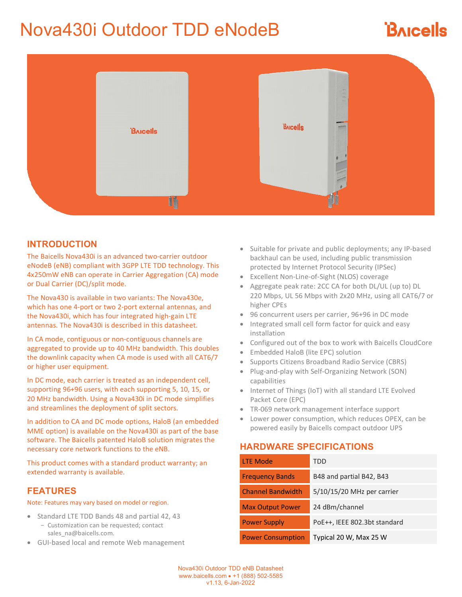# Nova430i Outdoor TDD eNodeB

# **BAICALS**



#### **INTRODUCTION**

The Baicells Nova430i is an advanced two-carrier outdoor eNodeB (eNB) compliant with 3GPP LTE TDD technology. This 4x250mW eNB can operate in Carrier Aggregation (CA) mode or Dual Carrier (DC)/split mode.

The Nova430 is available in two variants: The Nova430e, which has one 4-port or two 2-port external antennas, and the Nova430i, which has four integrated high-gain LTE antennas. The Nova430i is described in this datasheet.

In CA mode, contiguous or non-contiguous channels are aggregated to provide up to 40 MHz bandwidth. This doubles the downlink capacity when CA mode is used with all CAT6/7 or higher user equipment.

In DC mode, each carrier is treated as an independent cell, supporting 96+96 users, with each supporting 5, 10, 15, or 20 MHz bandwidth. Using a Nova430i in DC mode simplifies and streamlines the deployment of split sectors.

In addition to CA and DC mode options, HaloB (an embedded MME option) is available on the Nova430i as part of the base software. The Baicells patented HaloB solution migrates the necessary core network functions to the eNB.

This product comes with a standard product warranty; an extended warranty is available.

#### **FEATURES**

Note: Features may vary based on model or region.

- Standard LTE TDD Bands 48 and partial 42, 43 − Customization can be requested; contact sales\_na@baicells.com.
- GUI-based local and remote Web management
- Suitable for private and public deployments; any IP-based backhaul can be used, including public transmission protected by Internet Protocol Security (IPSec)
- Excellent Non-Line-of-Sight (NLOS) coverage
- Aggregate peak rate: 2CC CA for both DL/UL (up to) DL 220 Mbps, UL 56 Mbps with 2x20 MHz, using all CAT6/7 or higher CPEs
- 96 concurrent users per carrier, 96+96 in DC mode
- Integrated small cell form factor for quick and easy installation
- Configured out of the box to work with Baicells CloudCore
- Embedded HaloB (lite EPC) solution
- Supports Citizens Broadband Radio Service (CBRS)
- Plug-and-play with Self-Organizing Network (SON) capabilities
- Internet of Things (IoT) with all standard LTE Evolved Packet Core (EPC)
- TR-069 network management interface support
- Lower power consumption, which reduces OPEX, can be powered easily by Baicells compact outdoor UPS

### **HARDWARE SPECIFICATIONS**

| <b>LTE Mode</b>          | TDD                          |
|--------------------------|------------------------------|
| <b>Frequency Bands</b>   | B48 and partial B42, B43     |
| <b>Channel Bandwidth</b> | 5/10/15/20 MHz per carrier   |
| <b>Max Output Power</b>  | 24 dBm/channel               |
| <b>Power Supply</b>      | PoE++, IEEE 802.3bt standard |
| <b>Power Consumption</b> | Typical 20 W, Max 25 W       |